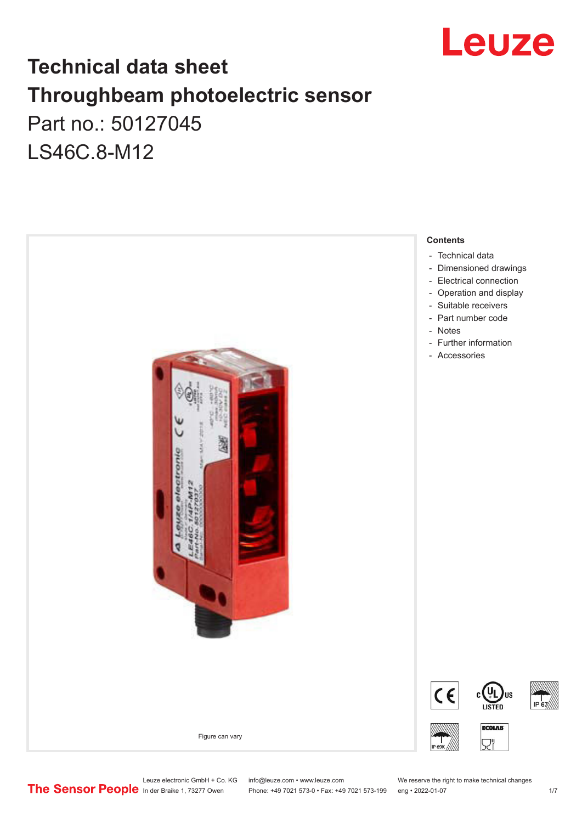

# **Technical data sheet Throughbeam photoelectric sensor**  Part no.: 50127045 LS46C.8-M12



Leuze electronic GmbH + Co. KG info@leuze.com • www.leuze.com We reserve the right to make technical changes<br>
The Sensor People in der Braike 1, 73277 Owen Phone: +49 7021 573-0 • Fax: +49 7021 573-199 eng • 2022-01-07

Phone: +49 7021 573-0 • Fax: +49 7021 573-199 eng • 2022-01-07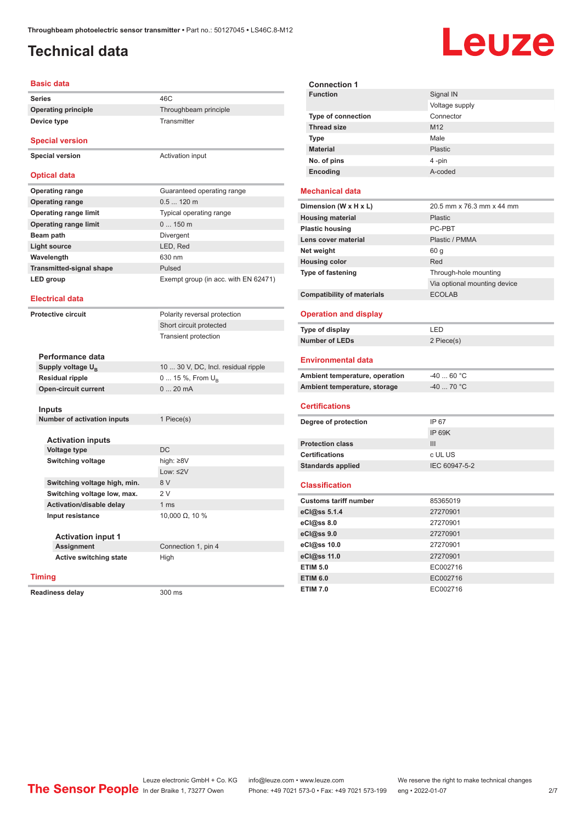# <span id="page-1-0"></span>**Technical data**

# Leuze

| Basic data                      |                                      |  |  |
|---------------------------------|--------------------------------------|--|--|
| <b>Series</b>                   | 46C                                  |  |  |
| <b>Operating principle</b>      | Throughbeam principle                |  |  |
| Device type                     | Transmitter                          |  |  |
| <b>Special version</b>          |                                      |  |  |
| <b>Special version</b>          | Activation input                     |  |  |
| <b>Optical data</b>             |                                      |  |  |
| <b>Operating range</b>          | Guaranteed operating range           |  |  |
| <b>Operating range</b>          | $0.5120$ m                           |  |  |
| <b>Operating range limit</b>    | Typical operating range              |  |  |
| <b>Operating range limit</b>    | 0150m                                |  |  |
| Beam path                       | <b>Divergent</b>                     |  |  |
| <b>Light source</b>             | LED, Red                             |  |  |
| Wavelength                      | 630 nm                               |  |  |
| <b>Transmitted-signal shape</b> | Pulsed                               |  |  |
| LED group                       | Exempt group (in acc. with EN 62471) |  |  |
| <b>Electrical data</b>          |                                      |  |  |
| <b>Protective circuit</b>       | Polarity reversal protection         |  |  |
|                                 | Short circuit protected              |  |  |
|                                 | <b>Transient protection</b>          |  |  |
|                                 |                                      |  |  |
| Performance data                |                                      |  |  |
| Supply voltage U <sub>R</sub>   | 10  30 V, DC, Incl. residual ripple  |  |  |
| <b>Residual ripple</b>          | 0  15 %, From $U_{\rm B}$            |  |  |
| <b>Open-circuit current</b>     | 020mA                                |  |  |
| <b>Inputs</b>                   |                                      |  |  |
| Number of activation inputs     | 1 Piece(s)                           |  |  |
|                                 |                                      |  |  |
| <b>Activation inputs</b>        |                                      |  |  |
| <b>Voltage type</b>             | <b>DC</b>                            |  |  |
| <b>Switching voltage</b>        | high: $\geq 8V$                      |  |  |
|                                 | Low: $\leq$ 2V                       |  |  |
| Switching voltage high, min.    | 8 V                                  |  |  |
| Switching voltage low, max.     | 2V                                   |  |  |
| Activation/disable delay        | 1 <sub>ms</sub>                      |  |  |
| Input resistance                | 10,000 $\Omega$ , 10 %               |  |  |
|                                 |                                      |  |  |
| <b>Activation input 1</b>       |                                      |  |  |
| Assignment                      | Connection 1, pin 4                  |  |  |
| <b>Active switching state</b>   | High                                 |  |  |
| <b>Timing</b>                   |                                      |  |  |
|                                 |                                      |  |  |

**Readiness delay** 300 ms

**Connection 1 Signal IN** Voltage supply **Type of connection** Connector **Thread size** M12 **Type** Male **Material** Plastic **No. of pins** 4 -pin **Encoding** A-coded **Mechanical data Dimension (W x H x L)** 20.5 mm x 76.3 mm x 44 mm **Housing material Housing material Plastic Plastic housing** PC-PBT **Lens cover material Community Plastic / PMMA Net weight** 60 g **Housing color** Red **Type of fastening** Through-hole mounting Via optional mounting device **Compatibility of materials** ECOLAB **Operation and display Type of display** LED **Number of LEDs** 2 Piece(s) **Environmental data** Ambient temperature, operation  $-40...60$  °C **Ambient temperature, storage**  $-40$  ... 70 °C **Certifications Degree of protection** IP 67 IP 69K **Protection class** III **Certifications** c UL US **Standards applied** IEC 60947-5-2 **Classification Customs tariff number** 85365019 **eCl@ss 5.1.4** 27270901 **eCl@ss 8.0** 27270901 **eCl@ss 9.0** 27270901 **eCl@ss 10.0** 27270901 **eCl@ss 11.0** 27270901 **ETIM 5.0** EC002716 **ETIM 6.0** EC002716

**ETIM 7.0** EC002716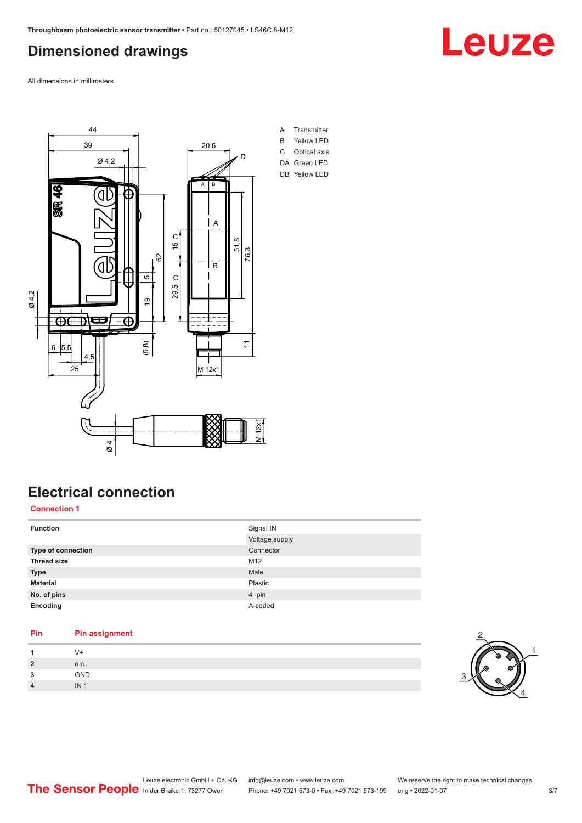# <span id="page-2-0"></span>**Dimensioned drawings**

Leuze

All dimensions in millimeters



# **Electrical connection**

**Connection 1**

| <b>Function</b>    | Signal IN      |
|--------------------|----------------|
|                    | Voltage supply |
| Type of connection | Connector      |
| <b>Thread size</b> | M12            |
| <b>Type</b>        | Male           |
| <b>Material</b>    | Plastic        |
| No. of pins        | 4-pin          |
| Encoding           | A-coded        |

#### **Pin Pin assignment 1** V+ **2** n.c. **3** GND **4** IN 1

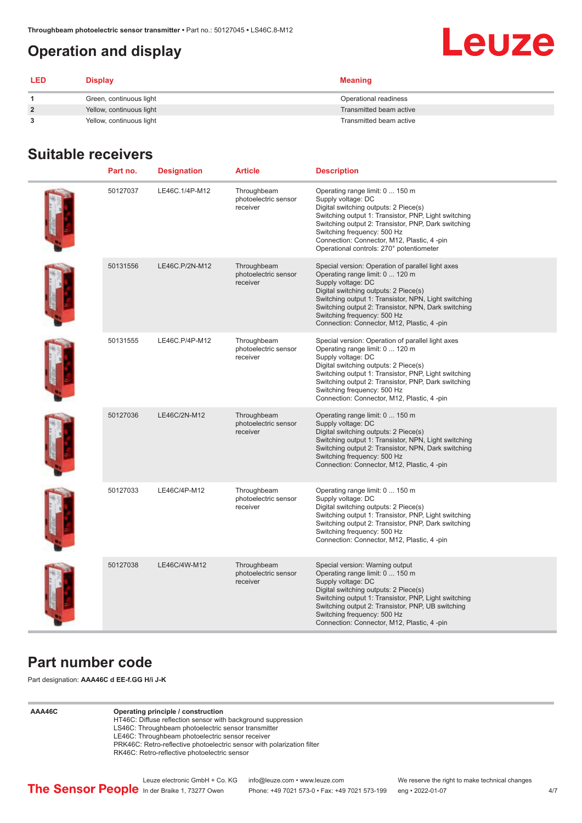# <span id="page-3-0"></span>**Operation and display**

# Leuze

| <b>LED</b>     | Display                  | <b>Meaning</b>          |
|----------------|--------------------------|-------------------------|
|                | Green, continuous light  | Operational readiness   |
| $\overline{2}$ | Yellow, continuous light | Transmitted beam active |
|                | Yellow, continuous light | Transmitted beam active |

# **Suitable receivers**

| Part no. | <b>Designation</b> | <b>Article</b>                                  | <b>Description</b>                                                                                                                                                                                                                                                                                                                               |
|----------|--------------------|-------------------------------------------------|--------------------------------------------------------------------------------------------------------------------------------------------------------------------------------------------------------------------------------------------------------------------------------------------------------------------------------------------------|
| 50127037 | LE46C.1/4P-M12     | Throughbeam<br>photoelectric sensor<br>receiver | Operating range limit: 0  150 m<br>Supply voltage: DC<br>Digital switching outputs: 2 Piece(s)<br>Switching output 1: Transistor, PNP, Light switching<br>Switching output 2: Transistor, PNP, Dark switching<br>Switching frequency: 500 Hz<br>Connection: Connector, M12, Plastic, 4 -pin<br>Operational controls: 270° potentiometer          |
| 50131556 | LE46C.P/2N-M12     | Throughbeam<br>photoelectric sensor<br>receiver | Special version: Operation of parallel light axes<br>Operating range limit: 0  120 m<br>Supply voltage: DC<br>Digital switching outputs: 2 Piece(s)<br>Switching output 1: Transistor, NPN, Light switching<br>Switching output 2: Transistor, NPN, Dark switching<br>Switching frequency: 500 Hz<br>Connection: Connector, M12, Plastic, 4-pin  |
| 50131555 | LE46C.P/4P-M12     | Throughbeam<br>photoelectric sensor<br>receiver | Special version: Operation of parallel light axes<br>Operating range limit: 0  120 m<br>Supply voltage: DC<br>Digital switching outputs: 2 Piece(s)<br>Switching output 1: Transistor, PNP, Light switching<br>Switching output 2: Transistor, PNP, Dark switching<br>Switching frequency: 500 Hz<br>Connection: Connector, M12, Plastic, 4 -pin |
| 50127036 | LE46C/2N-M12       | Throughbeam<br>photoelectric sensor<br>receiver | Operating range limit: 0  150 m<br>Supply voltage: DC<br>Digital switching outputs: 2 Piece(s)<br>Switching output 1: Transistor, NPN, Light switching<br>Switching output 2: Transistor, NPN, Dark switching<br>Switching frequency: 500 Hz<br>Connection: Connector, M12, Plastic, 4-pin                                                       |
| 50127033 | LE46C/4P-M12       | Throughbeam<br>photoelectric sensor<br>receiver | Operating range limit: 0  150 m<br>Supply voltage: DC<br>Digital switching outputs: 2 Piece(s)<br>Switching output 1: Transistor, PNP, Light switching<br>Switching output 2: Transistor, PNP, Dark switching<br>Switching frequency: 500 Hz<br>Connection: Connector, M12, Plastic, 4-pin                                                       |
| 50127038 | LE46C/4W-M12       | Throughbeam<br>photoelectric sensor<br>receiver | Special version: Warning output<br>Operating range limit: 0  150 m<br>Supply voltage: DC<br>Digital switching outputs: 2 Piece(s)<br>Switching output 1: Transistor, PNP, Light switching<br>Switching output 2: Transistor, PNP, UB switching<br>Switching frequency: 500 Hz<br>Connection: Connector, M12, Plastic, 4-pin                      |

# **Part number code**

Part designation: **AAA46C d EE-f.GG H/i J-K**

#### **AAA46C Operating principle / construction**

HT46C: Diffuse reflection sensor with background suppression

- LS46C: Throughbeam photoelectric sensor transmitter
- LE46C: Throughbeam photoelectric sensor receiver

PRK46C: Retro-reflective photoelectric sensor with polarization filter RK46C: Retro-reflective photoelectric sensor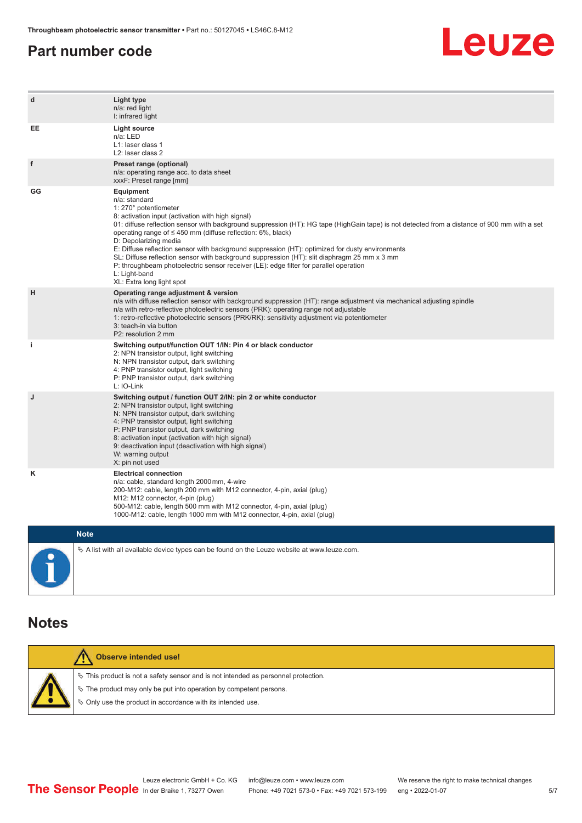# <span id="page-4-0"></span>**Part number code**



| d           | Light type<br>n/a: red light<br>I: infrared light                                                                                                                                                                                                                                                                                                                                                                                                                                                                                                                                                                                                                                              |
|-------------|------------------------------------------------------------------------------------------------------------------------------------------------------------------------------------------------------------------------------------------------------------------------------------------------------------------------------------------------------------------------------------------------------------------------------------------------------------------------------------------------------------------------------------------------------------------------------------------------------------------------------------------------------------------------------------------------|
| EE          | Light source<br>n/a: LED<br>L1: laser class 1<br>L <sub>2</sub> : laser class 2                                                                                                                                                                                                                                                                                                                                                                                                                                                                                                                                                                                                                |
| f           | Preset range (optional)<br>n/a: operating range acc. to data sheet<br>xxxF: Preset range [mm]                                                                                                                                                                                                                                                                                                                                                                                                                                                                                                                                                                                                  |
| GG          | Equipment<br>n/a: standard<br>1: 270° potentiometer<br>8: activation input (activation with high signal)<br>01: diffuse reflection sensor with background suppression (HT): HG tape (HighGain tape) is not detected from a distance of 900 mm with a set<br>operating range of $\leq$ 450 mm (diffuse reflection: 6%, black)<br>D: Depolarizing media<br>E: Diffuse reflection sensor with background suppression (HT): optimized for dusty environments<br>SL: Diffuse reflection sensor with background suppression (HT): slit diaphragm 25 mm x 3 mm<br>P: throughbeam photoelectric sensor receiver (LE): edge filter for parallel operation<br>L: Light-band<br>XL: Extra long light spot |
| н           | Operating range adjustment & version<br>n/a with diffuse reflection sensor with background suppression (HT): range adjustment via mechanical adjusting spindle<br>n/a with retro-reflective photoelectric sensors (PRK): operating range not adjustable<br>1: retro-reflective photoelectric sensors (PRK/RK): sensitivity adjustment via potentiometer<br>3: teach-in via button<br>P2: resolution 2 mm                                                                                                                                                                                                                                                                                       |
| j.          | Switching output/function OUT 1/IN: Pin 4 or black conductor<br>2: NPN transistor output, light switching<br>N: NPN transistor output, dark switching<br>4: PNP transistor output, light switching<br>P: PNP transistor output, dark switching<br>L: IO-Link                                                                                                                                                                                                                                                                                                                                                                                                                                   |
| J           | Switching output / function OUT 2/IN: pin 2 or white conductor<br>2: NPN transistor output, light switching<br>N: NPN transistor output, dark switching<br>4: PNP transistor output, light switching<br>P: PNP transistor output, dark switching<br>8: activation input (activation with high signal)<br>9: deactivation input (deactivation with high signal)<br>W: warning output<br>X: pin not used                                                                                                                                                                                                                                                                                         |
| κ           | <b>Electrical connection</b><br>n/a: cable, standard length 2000 mm, 4-wire<br>200-M12: cable, length 200 mm with M12 connector, 4-pin, axial (plug)<br>M12: M12 connector, 4-pin (plug)<br>500-M12: cable, length 500 mm with M12 connector, 4-pin, axial (plug)<br>1000-M12: cable, length 1000 mm with M12 connector, 4-pin, axial (plug)                                                                                                                                                                                                                                                                                                                                                   |
| <b>Note</b> |                                                                                                                                                                                                                                                                                                                                                                                                                                                                                                                                                                                                                                                                                                |

 $\%$  A list with all available device types can be found on the Leuze website at www.leuze.com.  $\bullet$ Ĭ

### **Notes**

|  | <b>Observe intended use!</b>                                                          |
|--|---------------------------------------------------------------------------------------|
|  | $\%$ This product is not a safety sensor and is not intended as personnel protection. |
|  | $\%$ The product may only be put into operation by competent persons.                 |
|  | § Only use the product in accordance with its intended use.                           |
|  |                                                                                       |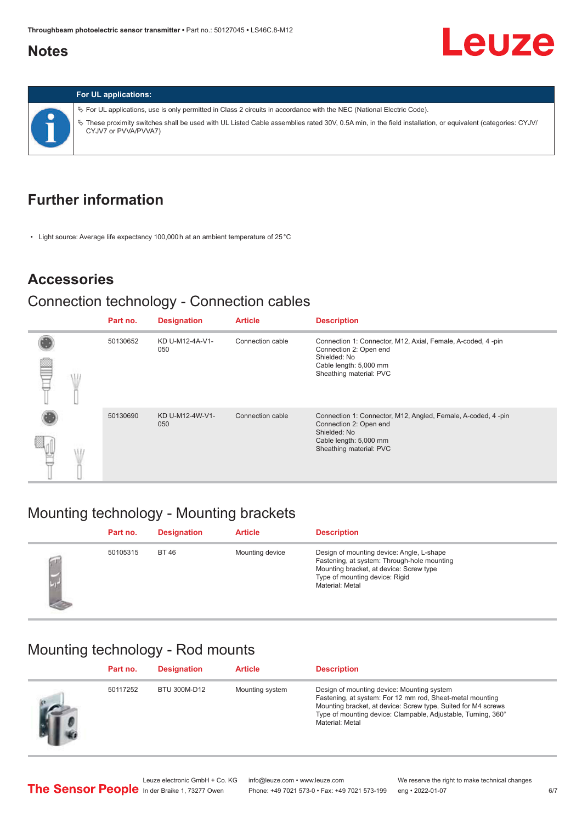# <span id="page-5-0"></span>**Notes**

# Leuze



#### **For UL applications:**

ª For UL applications, use is only permitted in Class 2 circuits in accordance with the NEC (National Electric Code). ª These proximity switches shall be used with UL Listed Cable assemblies rated 30V, 0.5A min, in the field installation, or equivalent (categories: CYJV/ CYJV7 or PVVA/PVVA7)

# **Further information**

• Light source: Average life expectancy 100,000 h at an ambient temperature of 25 °C

# **Accessories**

# Connection technology - Connection cables

|  | Part no. | <b>Designation</b>     | <b>Article</b>   | <b>Description</b>                                                                                                                                          |
|--|----------|------------------------|------------------|-------------------------------------------------------------------------------------------------------------------------------------------------------------|
|  | 50130652 | KD U-M12-4A-V1-<br>050 | Connection cable | Connection 1: Connector, M12, Axial, Female, A-coded, 4-pin<br>Connection 2: Open end<br>Shielded: No<br>Cable length: 5,000 mm<br>Sheathing material: PVC  |
|  | 50130690 | KD U-M12-4W-V1-<br>050 | Connection cable | Connection 1: Connector, M12, Angled, Female, A-coded, 4-pin<br>Connection 2: Open end<br>Shielded: No<br>Cable length: 5,000 mm<br>Sheathing material: PVC |

# Mounting technology - Mounting brackets

|   | Part no. | <b>Designation</b> | <b>Article</b>  | <b>Description</b>                                                                                                                                                                       |
|---|----------|--------------------|-----------------|------------------------------------------------------------------------------------------------------------------------------------------------------------------------------------------|
| œ | 50105315 | BT 46              | Mounting device | Design of mounting device: Angle, L-shape<br>Fastening, at system: Through-hole mounting<br>Mounting bracket, at device: Screw type<br>Type of mounting device: Rigid<br>Material: Metal |

# Mounting technology - Rod mounts

| Part no. | <b>Designation</b> | <b>Article</b>  | <b>Description</b>                                                                                                                                                                                                                                           |
|----------|--------------------|-----------------|--------------------------------------------------------------------------------------------------------------------------------------------------------------------------------------------------------------------------------------------------------------|
| 50117252 | BTU 300M-D12       | Mounting system | Design of mounting device: Mounting system<br>Fastening, at system: For 12 mm rod, Sheet-metal mounting<br>Mounting bracket, at device: Screw type, Suited for M4 screws<br>Type of mounting device: Clampable, Adjustable, Turning, 360°<br>Material: Metal |